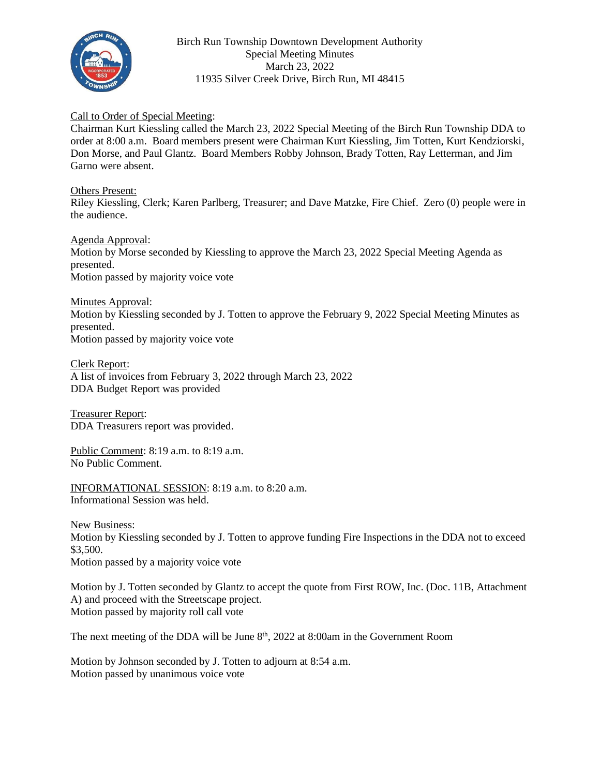

Birch Run Township Downtown Development Authority Special Meeting Minutes March 23, 2022 11935 Silver Creek Drive, Birch Run, MI 48415

## Call to Order of Special Meeting:

Chairman Kurt Kiessling called the March 23, 2022 Special Meeting of the Birch Run Township DDA to order at 8:00 a.m. Board members present were Chairman Kurt Kiessling, Jim Totten, Kurt Kendziorski, Don Morse, and Paul Glantz. Board Members Robby Johnson, Brady Totten, Ray Letterman, and Jim Garno were absent.

## Others Present:

Riley Kiessling, Clerk; Karen Parlberg, Treasurer; and Dave Matzke, Fire Chief. Zero (0) people were in the audience.

Agenda Approval: Motion by Morse seconded by Kiessling to approve the March 23, 2022 Special Meeting Agenda as presented. Motion passed by majority voice vote

Minutes Approval: Motion by Kiessling seconded by J. Totten to approve the February 9, 2022 Special Meeting Minutes as presented. Motion passed by majority voice vote

Clerk Report: A list of invoices from February 3, 2022 through March 23, 2022 DDA Budget Report was provided

Treasurer Report: DDA Treasurers report was provided.

Public Comment: 8:19 a.m. to 8:19 a.m. No Public Comment.

INFORMATIONAL SESSION: 8:19 a.m. to 8:20 a.m. Informational Session was held.

New Business:

Motion by Kiessling seconded by J. Totten to approve funding Fire Inspections in the DDA not to exceed \$3,500.

Motion passed by a majority voice vote

Motion by J. Totten seconded by Glantz to accept the quote from First ROW, Inc. (Doc. 11B, Attachment A) and proceed with the Streetscape project. Motion passed by majority roll call vote

The next meeting of the DDA will be June  $8<sup>th</sup>$ , 2022 at  $8:00$ am in the Government Room

Motion by Johnson seconded by J. Totten to adjourn at 8:54 a.m. Motion passed by unanimous voice vote